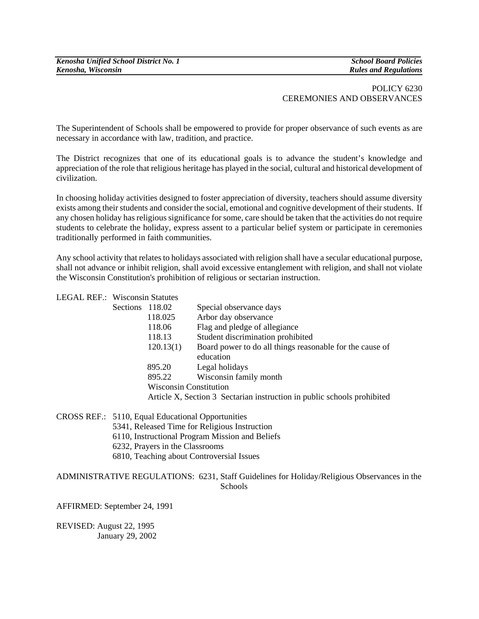*Kenosha Unified School District No. 1 School Board Policies* 

 $Rules$  and Regulations

## POLICY 6230 CEREMONIES AND OBSERVANCES

The Superintendent of Schools shall be empowered to provide for proper observance of such events as are necessary in accordance with law, tradition, and practice.

The District recognizes that one of its educational goals is to advance the student's knowledge and appreciation of the role that religious heritage has played in the social, cultural and historical development of civilization.

In choosing holiday activities designed to foster appreciation of diversity, teachers should assume diversity exists among their students and consider the social, emotional and cognitive development of their students. If any chosen holiday has religious significance for some, care should be taken that the activities do not require students to celebrate the holiday, express assent to a particular belief system or participate in ceremonies traditionally performed in faith communities.

Any school activity that relates to holidays associated with religion shall have a secular educational purpose, shall not advance or inhibit religion, shall avoid excessive entanglement with religion, and shall not violate the Wisconsin Constitution's prohibition of religious or sectarian instruction.

| <b>LEGAL REF.: Wisconsin Statutes</b> |                               |                                                                         |
|---------------------------------------|-------------------------------|-------------------------------------------------------------------------|
| Sections 118.02                       |                               | Special observance days                                                 |
|                                       | 118.025                       | Arbor day observance                                                    |
|                                       | 118.06                        | Flag and pledge of allegiance                                           |
|                                       | 118.13                        | Student discrimination prohibited                                       |
|                                       | 120.13(1)                     | Board power to do all things reasonable for the cause of                |
|                                       |                               | education                                                               |
|                                       | 895.20                        | Legal holidays                                                          |
|                                       | 895.22                        | Wisconsin family month                                                  |
|                                       | <b>Wisconsin Constitution</b> |                                                                         |
|                                       |                               | Article X, Section 3 Sectarian instruction in public schools prohibited |
|                                       |                               |                                                                         |

CROSS REF.: 5110, Equal Educational Opportunities

- 5341, Released Time for Religious Instruction
- 6110, Instructional Program Mission and Beliefs
- 6232, Prayers in the Classrooms
- 6810, Teaching about Controversial Issues

## ADMINISTRATIVE REGULATIONS: 6231, Staff Guidelines for Holiday/Religious Observances in the **Schools**

AFFIRMED: September 24, 1991

REVISED: August 22, 1995 January 29, 2002